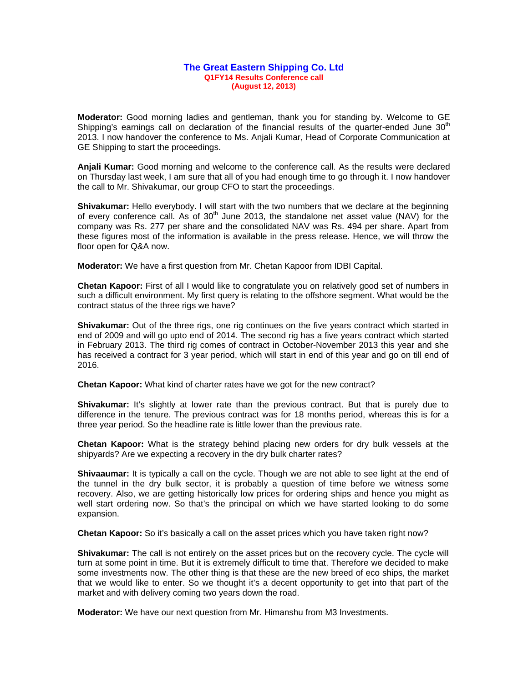## **The Great Eastern Shipping Co. Ltd Q1FY14 Results Conference call (August 12, 2013)**

**Moderator:** Good morning ladies and gentleman, thank you for standing by. Welcome to GE Shipping's earnings call on declaration of the financial results of the quarter-ended June  $30<sup>th</sup>$ 2013. I now handover the conference to Ms. Anjali Kumar, Head of Corporate Communication at GE Shipping to start the proceedings.

**Anjali Kumar:** Good morning and welcome to the conference call. As the results were declared on Thursday last week, I am sure that all of you had enough time to go through it. I now handover the call to Mr. Shivakumar, our group CFO to start the proceedings.

**Shivakumar:** Hello everybody. I will start with the two numbers that we declare at the beginning of every conference call. As of  $30<sup>th</sup>$  June 2013, the standalone net asset value (NAV) for the company was Rs. 277 per share and the consolidated NAV was Rs. 494 per share. Apart from these figures most of the information is available in the press release. Hence, we will throw the floor open for Q&A now.

**Moderator:** We have a first question from Mr. Chetan Kapoor from IDBI Capital.

**Chetan Kapoor:** First of all I would like to congratulate you on relatively good set of numbers in such a difficult environment. My first query is relating to the offshore segment. What would be the contract status of the three rigs we have?

**Shivakumar:** Out of the three rigs, one rig continues on the five years contract which started in end of 2009 and will go upto end of 2014. The second rig has a five years contract which started in February 2013. The third rig comes of contract in October-November 2013 this year and she has received a contract for 3 year period, which will start in end of this year and go on till end of 2016.

**Chetan Kapoor:** What kind of charter rates have we got for the new contract?

**Shivakumar:** It's slightly at lower rate than the previous contract. But that is purely due to difference in the tenure. The previous contract was for 18 months period, whereas this is for a three year period. So the headline rate is little lower than the previous rate.

**Chetan Kapoor:** What is the strategy behind placing new orders for dry bulk vessels at the shipyards? Are we expecting a recovery in the dry bulk charter rates?

**Shivaaumar:** It is typically a call on the cycle. Though we are not able to see light at the end of the tunnel in the dry bulk sector, it is probably a question of time before we witness some recovery. Also, we are getting historically low prices for ordering ships and hence you might as well start ordering now. So that's the principal on which we have started looking to do some expansion.

**Chetan Kapoor:** So it's basically a call on the asset prices which you have taken right now?

**Shivakumar:** The call is not entirely on the asset prices but on the recovery cycle. The cycle will turn at some point in time. But it is extremely difficult to time that. Therefore we decided to make some investments now. The other thing is that these are the new breed of eco ships, the market that we would like to enter. So we thought it's a decent opportunity to get into that part of the market and with delivery coming two years down the road.

**Moderator:** We have our next question from Mr. Himanshu from M3 Investments.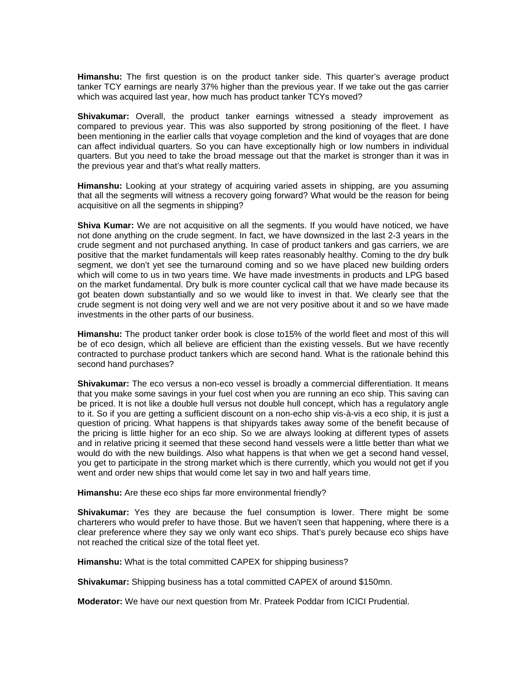**Himanshu:** The first question is on the product tanker side. This quarter's average product tanker TCY earnings are nearly 37% higher than the previous year. If we take out the gas carrier which was acquired last year, how much has product tanker TCYs moved?

**Shivakumar:** Overall, the product tanker earnings witnessed a steady improvement as compared to previous year. This was also supported by strong positioning of the fleet. I have been mentioning in the earlier calls that voyage completion and the kind of voyages that are done can affect individual quarters. So you can have exceptionally high or low numbers in individual quarters. But you need to take the broad message out that the market is stronger than it was in the previous year and that's what really matters.

**Himanshu:** Looking at your strategy of acquiring varied assets in shipping, are you assuming that all the segments will witness a recovery going forward? What would be the reason for being acquisitive on all the segments in shipping?

**Shiva Kumar:** We are not acquisitive on all the segments. If you would have noticed, we have not done anything on the crude segment. In fact, we have downsized in the last 2-3 years in the crude segment and not purchased anything. In case of product tankers and gas carriers, we are positive that the market fundamentals will keep rates reasonably healthy. Coming to the dry bulk segment, we don't yet see the turnaround coming and so we have placed new building orders which will come to us in two years time. We have made investments in products and LPG based on the market fundamental. Dry bulk is more counter cyclical call that we have made because its got beaten down substantially and so we would like to invest in that. We clearly see that the crude segment is not doing very well and we are not very positive about it and so we have made investments in the other parts of our business.

**Himanshu:** The product tanker order book is close to15% of the world fleet and most of this will be of eco design, which all believe are efficient than the existing vessels. But we have recently contracted to purchase product tankers which are second hand. What is the rationale behind this second hand purchases?

**Shivakumar:** The eco versus a non-eco vessel is broadly a commercial differentiation. It means that you make some savings in your fuel cost when you are running an eco ship. This saving can be priced. It is not like a double hull versus not double hull concept, which has a regulatory angle to it. So if you are getting a sufficient discount on a non-echo ship vis-à-vis a eco ship, it is just a question of pricing. What happens is that shipyards takes away some of the benefit because of the pricing is little higher for an eco ship. So we are always looking at different types of assets and in relative pricing it seemed that these second hand vessels were a little better than what we would do with the new buildings. Also what happens is that when we get a second hand vessel, you get to participate in the strong market which is there currently, which you would not get if you went and order new ships that would come let say in two and half years time.

**Himanshu:** Are these eco ships far more environmental friendly?

**Shivakumar:** Yes they are because the fuel consumption is lower. There might be some charterers who would prefer to have those. But we haven't seen that happening, where there is a clear preference where they say we only want eco ships. That's purely because eco ships have not reached the critical size of the total fleet yet.

**Himanshu:** What is the total committed CAPEX for shipping business?

**Shivakumar:** Shipping business has a total committed CAPEX of around \$150mn.

**Moderator:** We have our next question from Mr. Prateek Poddar from ICICI Prudential.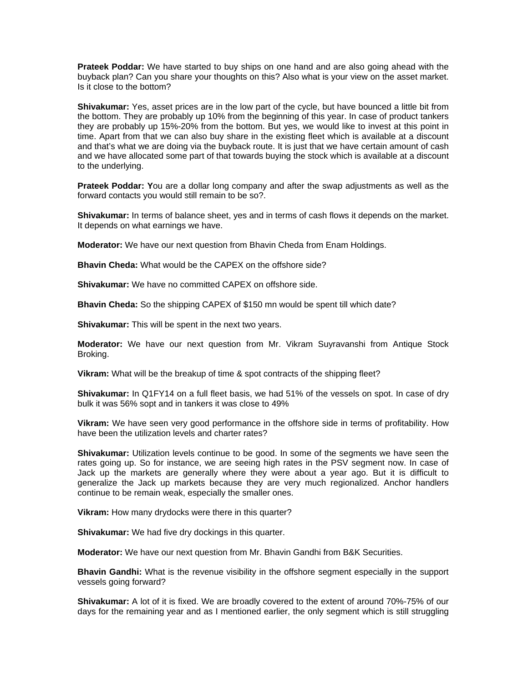**Prateek Poddar:** We have started to buy ships on one hand and are also going ahead with the buyback plan? Can you share your thoughts on this? Also what is your view on the asset market. Is it close to the bottom?

**Shivakumar:** Yes, asset prices are in the low part of the cycle, but have bounced a little bit from the bottom. They are probably up 10% from the beginning of this year. In case of product tankers they are probably up 15%-20% from the bottom. But yes, we would like to invest at this point in time. Apart from that we can also buy share in the existing fleet which is available at a discount and that's what we are doing via the buyback route. It is just that we have certain amount of cash and we have allocated some part of that towards buying the stock which is available at a discount to the underlying.

**Prateek Poddar: Y**ou are a dollar long company and after the swap adjustments as well as the forward contacts you would still remain to be so?.

**Shivakumar:** In terms of balance sheet, yes and in terms of cash flows it depends on the market. It depends on what earnings we have.

**Moderator:** We have our next question from Bhavin Cheda from Enam Holdings.

**Bhavin Cheda:** What would be the CAPEX on the offshore side?

**Shivakumar:** We have no committed CAPEX on offshore side.

**Bhavin Cheda:** So the shipping CAPEX of \$150 mn would be spent till which date?

**Shivakumar:** This will be spent in the next two years.

**Moderator:** We have our next question from Mr. Vikram Suyravanshi from Antique Stock Broking.

**Vikram:** What will be the breakup of time & spot contracts of the shipping fleet?

**Shivakumar:** In Q1FY14 on a full fleet basis, we had 51% of the vessels on spot. In case of dry bulk it was 56% sopt and in tankers it was close to 49%

**Vikram:** We have seen very good performance in the offshore side in terms of profitability. How have been the utilization levels and charter rates?

**Shivakumar:** Utilization levels continue to be good. In some of the segments we have seen the rates going up. So for instance, we are seeing high rates in the PSV segment now. In case of Jack up the markets are generally where they were about a year ago. But it is difficult to generalize the Jack up markets because they are very much regionalized. Anchor handlers continue to be remain weak, especially the smaller ones.

**Vikram:** How many drydocks were there in this quarter?

**Shivakumar:** We had five dry dockings in this quarter.

**Moderator:** We have our next question from Mr. Bhavin Gandhi from B&K Securities.

**Bhavin Gandhi:** What is the revenue visibility in the offshore segment especially in the support vessels going forward?

**Shivakumar:** A lot of it is fixed. We are broadly covered to the extent of around 70%-75% of our days for the remaining year and as I mentioned earlier, the only segment which is still struggling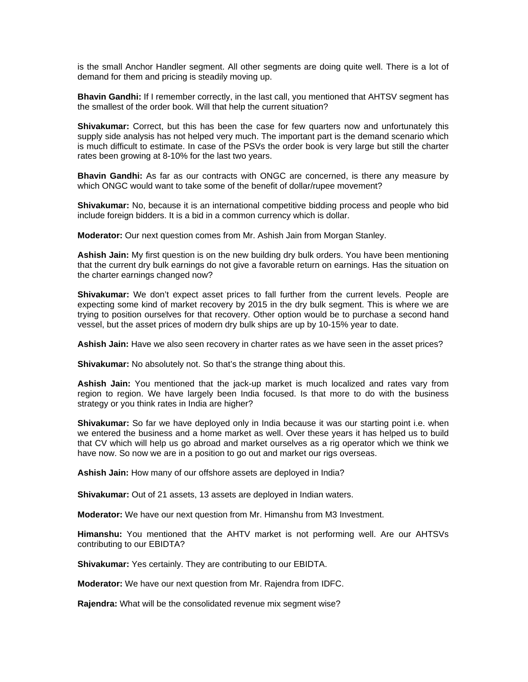is the small Anchor Handler segment. All other segments are doing quite well. There is a lot of demand for them and pricing is steadily moving up.

**Bhavin Gandhi:** If I remember correctly, in the last call, you mentioned that AHTSV segment has the smallest of the order book. Will that help the current situation?

**Shivakumar:** Correct, but this has been the case for few quarters now and unfortunately this supply side analysis has not helped very much. The important part is the demand scenario which is much difficult to estimate. In case of the PSVs the order book is very large but still the charter rates been growing at 8-10% for the last two years.

**Bhavin Gandhi:** As far as our contracts with ONGC are concerned, is there any measure by which ONGC would want to take some of the benefit of dollar/rupee movement?

**Shivakumar:** No, because it is an international competitive bidding process and people who bid include foreign bidders. It is a bid in a common currency which is dollar.

**Moderator:** Our next question comes from Mr. Ashish Jain from Morgan Stanley.

**Ashish Jain:** My first question is on the new building dry bulk orders. You have been mentioning that the current dry bulk earnings do not give a favorable return on earnings. Has the situation on the charter earnings changed now?

**Shivakumar:** We don't expect asset prices to fall further from the current levels. People are expecting some kind of market recovery by 2015 in the dry bulk segment. This is where we are trying to position ourselves for that recovery. Other option would be to purchase a second hand vessel, but the asset prices of modern dry bulk ships are up by 10-15% year to date.

**Ashish Jain:** Have we also seen recovery in charter rates as we have seen in the asset prices?

**Shivakumar:** No absolutely not. So that's the strange thing about this.

**Ashish Jain:** You mentioned that the jack-up market is much localized and rates vary from region to region. We have largely been India focused. Is that more to do with the business strategy or you think rates in India are higher?

**Shivakumar:** So far we have deployed only in India because it was our starting point i.e. when we entered the business and a home market as well. Over these years it has helped us to build that CV which will help us go abroad and market ourselves as a rig operator which we think we have now. So now we are in a position to go out and market our rigs overseas.

**Ashish Jain:** How many of our offshore assets are deployed in India?

**Shivakumar:** Out of 21 assets, 13 assets are deployed in Indian waters.

**Moderator:** We have our next question from Mr. Himanshu from M3 Investment.

**Himanshu:** You mentioned that the AHTV market is not performing well. Are our AHTSVs contributing to our EBIDTA?

**Shivakumar:** Yes certainly. They are contributing to our EBIDTA.

**Moderator:** We have our next question from Mr. Rajendra from IDFC.

**Rajendra:** What will be the consolidated revenue mix segment wise?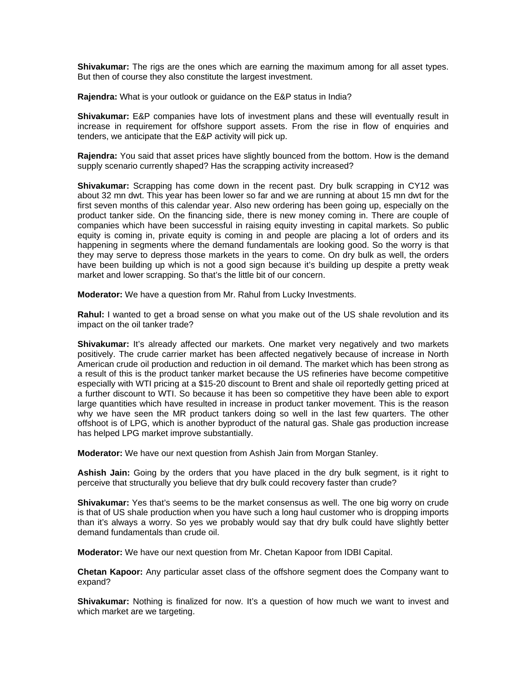**Shivakumar:** The rigs are the ones which are earning the maximum among for all asset types. But then of course they also constitute the largest investment.

**Rajendra:** What is your outlook or guidance on the E&P status in India?

**Shivakumar:** E&P companies have lots of investment plans and these will eventually result in increase in requirement for offshore support assets. From the rise in flow of enquiries and tenders, we anticipate that the E&P activity will pick up.

**Rajendra:** You said that asset prices have slightly bounced from the bottom. How is the demand supply scenario currently shaped? Has the scrapping activity increased?

**Shivakumar:** Scrapping has come down in the recent past. Dry bulk scrapping in CY12 was about 32 mn dwt. This year has been lower so far and we are running at about 15 mn dwt for the first seven months of this calendar year. Also new ordering has been going up, especially on the product tanker side. On the financing side, there is new money coming in. There are couple of companies which have been successful in raising equity investing in capital markets. So public equity is coming in, private equity is coming in and people are placing a lot of orders and its happening in segments where the demand fundamentals are looking good. So the worry is that they may serve to depress those markets in the years to come. On dry bulk as well, the orders have been building up which is not a good sign because it's building up despite a pretty weak market and lower scrapping. So that's the little bit of our concern.

**Moderator:** We have a question from Mr. Rahul from Lucky Investments.

**Rahul:** I wanted to get a broad sense on what you make out of the US shale revolution and its impact on the oil tanker trade?

**Shivakumar:** It's already affected our markets. One market very negatively and two markets positively. The crude carrier market has been affected negatively because of increase in North American crude oil production and reduction in oil demand. The market which has been strong as a result of this is the product tanker market because the US refineries have become competitive especially with WTI pricing at a \$15-20 discount to Brent and shale oil reportedly getting priced at a further discount to WTI. So because it has been so competitive they have been able to export large quantities which have resulted in increase in product tanker movement. This is the reason why we have seen the MR product tankers doing so well in the last few quarters. The other offshoot is of LPG, which is another byproduct of the natural gas. Shale gas production increase has helped LPG market improve substantially.

**Moderator:** We have our next question from Ashish Jain from Morgan Stanley.

**Ashish Jain:** Going by the orders that you have placed in the dry bulk segment, is it right to perceive that structurally you believe that dry bulk could recovery faster than crude?

**Shivakumar:** Yes that's seems to be the market consensus as well. The one big worry on crude is that of US shale production when you have such a long haul customer who is dropping imports than it's always a worry. So yes we probably would say that dry bulk could have slightly better demand fundamentals than crude oil.

**Moderator:** We have our next question from Mr. Chetan Kapoor from IDBI Capital.

**Chetan Kapoor:** Any particular asset class of the offshore segment does the Company want to expand?

**Shivakumar:** Nothing is finalized for now. It's a question of how much we want to invest and which market are we targeting.